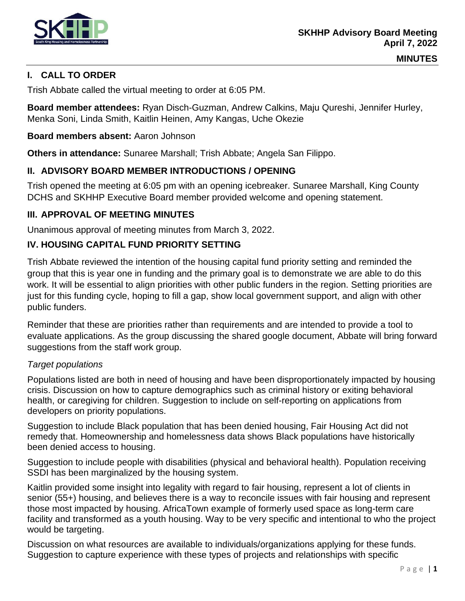

# **I. CALL TO ORDER**

Trish Abbate called the virtual meeting to order at 6:05 PM.

**Board member attendees:** Ryan Disch-Guzman, Andrew Calkins, Maju Qureshi, Jennifer Hurley, Menka Soni, Linda Smith, Kaitlin Heinen, Amy Kangas, Uche Okezie

## **Board members absent:** Aaron Johnson

**Others in attendance:** Sunaree Marshall; Trish Abbate; Angela San Filippo.

## **II. ADVISORY BOARD MEMBER INTRODUCTIONS / OPENING**

Trish opened the meeting at 6:05 pm with an opening icebreaker. Sunaree Marshall, King County DCHS and SKHHP Executive Board member provided welcome and opening statement.

## **III. APPROVAL OF MEETING MINUTES**

Unanimous approval of meeting minutes from March 3, 2022.

## **IV. HOUSING CAPITAL FUND PRIORITY SETTING**

Trish Abbate reviewed the intention of the housing capital fund priority setting and reminded the group that this is year one in funding and the primary goal is to demonstrate we are able to do this work. It will be essential to align priorities with other public funders in the region. Setting priorities are just for this funding cycle, hoping to fill a gap, show local government support, and align with other public funders.

Reminder that these are priorities rather than requirements and are intended to provide a tool to evaluate applications. As the group discussing the shared google document, Abbate will bring forward suggestions from the staff work group.

#### *Target populations*

Populations listed are both in need of housing and have been disproportionately impacted by housing crisis. Discussion on how to capture demographics such as criminal history or exiting behavioral health, or caregiving for children. Suggestion to include on self-reporting on applications from developers on priority populations.

Suggestion to include Black population that has been denied housing, Fair Housing Act did not remedy that. Homeownership and homelessness data shows Black populations have historically been denied access to housing.

Suggestion to include people with disabilities (physical and behavioral health). Population receiving SSDI has been marginalized by the housing system.

Kaitlin provided some insight into legality with regard to fair housing, represent a lot of clients in senior (55+) housing, and believes there is a way to reconcile issues with fair housing and represent those most impacted by housing. AfricaTown example of formerly used space as long-term care facility and transformed as a youth housing. Way to be very specific and intentional to who the project would be targeting.

Discussion on what resources are available to individuals/organizations applying for these funds. Suggestion to capture experience with these types of projects and relationships with specific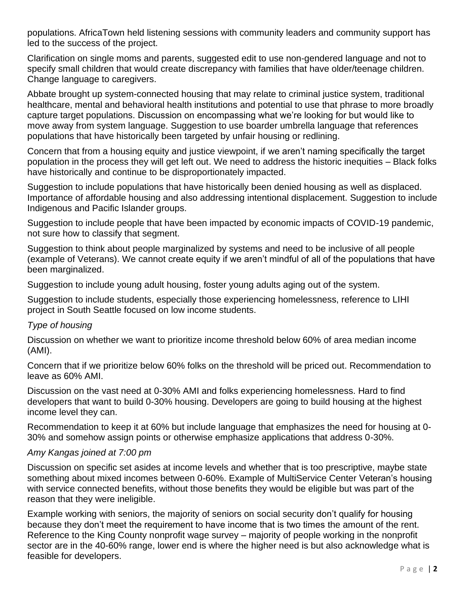populations. AfricaTown held listening sessions with community leaders and community support has led to the success of the project.

Clarification on single moms and parents, suggested edit to use non-gendered language and not to specify small children that would create discrepancy with families that have older/teenage children. Change language to caregivers.

Abbate brought up system-connected housing that may relate to criminal justice system, traditional healthcare, mental and behavioral health institutions and potential to use that phrase to more broadly capture target populations. Discussion on encompassing what we're looking for but would like to move away from system language. Suggestion to use boarder umbrella language that references populations that have historically been targeted by unfair housing or redlining.

Concern that from a housing equity and justice viewpoint, if we aren't naming specifically the target population in the process they will get left out. We need to address the historic inequities – Black folks have historically and continue to be disproportionately impacted.

Suggestion to include populations that have historically been denied housing as well as displaced. Importance of affordable housing and also addressing intentional displacement. Suggestion to include Indigenous and Pacific Islander groups.

Suggestion to include people that have been impacted by economic impacts of COVID-19 pandemic, not sure how to classify that segment.

Suggestion to think about people marginalized by systems and need to be inclusive of all people (example of Veterans). We cannot create equity if we aren't mindful of all of the populations that have been marginalized.

Suggestion to include young adult housing, foster young adults aging out of the system.

Suggestion to include students, especially those experiencing homelessness, reference to LIHI project in South Seattle focused on low income students.

## *Type of housing*

Discussion on whether we want to prioritize income threshold below 60% of area median income (AMI).

Concern that if we prioritize below 60% folks on the threshold will be priced out. Recommendation to leave as 60% AMI.

Discussion on the vast need at 0-30% AMI and folks experiencing homelessness. Hard to find developers that want to build 0-30% housing. Developers are going to build housing at the highest income level they can.

Recommendation to keep it at 60% but include language that emphasizes the need for housing at 0- 30% and somehow assign points or otherwise emphasize applications that address 0-30%.

#### *Amy Kangas joined at 7:00 pm*

Discussion on specific set asides at income levels and whether that is too prescriptive, maybe state something about mixed incomes between 0-60%. Example of MultiService Center Veteran's housing with service connected benefits, without those benefits they would be eligible but was part of the reason that they were ineligible.

Example working with seniors, the majority of seniors on social security don't qualify for housing because they don't meet the requirement to have income that is two times the amount of the rent. Reference to the King County nonprofit wage survey – majority of people working in the nonprofit sector are in the 40-60% range, lower end is where the higher need is but also acknowledge what is feasible for developers.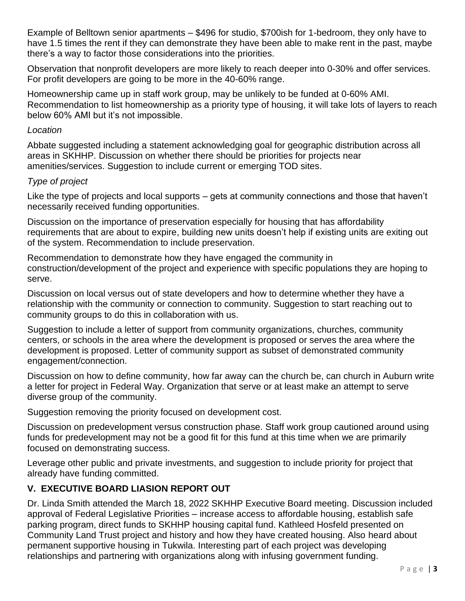Example of Belltown senior apartments – \$496 for studio, \$700ish for 1-bedroom, they only have to have 1.5 times the rent if they can demonstrate they have been able to make rent in the past, maybe there's a way to factor those considerations into the priorities.

Observation that nonprofit developers are more likely to reach deeper into 0-30% and offer services. For profit developers are going to be more in the 40-60% range.

Homeownership came up in staff work group, may be unlikely to be funded at 0-60% AMI. Recommendation to list homeownership as a priority type of housing, it will take lots of layers to reach below 60% AMI but it's not impossible.

## *Location*

Abbate suggested including a statement acknowledging goal for geographic distribution across all areas in SKHHP. Discussion on whether there should be priorities for projects near amenities/services. Suggestion to include current or emerging TOD sites.

# *Type of project*

Like the type of projects and local supports – gets at community connections and those that haven't necessarily received funding opportunities.

Discussion on the importance of preservation especially for housing that has affordability requirements that are about to expire, building new units doesn't help if existing units are exiting out of the system. Recommendation to include preservation.

Recommendation to demonstrate how they have engaged the community in construction/development of the project and experience with specific populations they are hoping to serve.

Discussion on local versus out of state developers and how to determine whether they have a relationship with the community or connection to community. Suggestion to start reaching out to community groups to do this in collaboration with us.

Suggestion to include a letter of support from community organizations, churches, community centers, or schools in the area where the development is proposed or serves the area where the development is proposed. Letter of community support as subset of demonstrated community engagement/connection.

Discussion on how to define community, how far away can the church be, can church in Auburn write a letter for project in Federal Way. Organization that serve or at least make an attempt to serve diverse group of the community.

Suggestion removing the priority focused on development cost.

Discussion on predevelopment versus construction phase. Staff work group cautioned around using funds for predevelopment may not be a good fit for this fund at this time when we are primarily focused on demonstrating success.

Leverage other public and private investments, and suggestion to include priority for project that already have funding committed.

# **V. EXECUTIVE BOARD LIASION REPORT OUT**

Dr. Linda Smith attended the March 18, 2022 SKHHP Executive Board meeting. Discussion included approval of Federal Legislative Priorities – increase access to affordable housing, establish safe parking program, direct funds to SKHHP housing capital fund. Kathleed Hosfeld presented on Community Land Trust project and history and how they have created housing. Also heard about permanent supportive housing in Tukwila. Interesting part of each project was developing relationships and partnering with organizations along with infusing government funding.